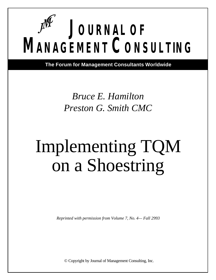# **JOURNAL OF MANAGEMENT CONSULTING**

**The Forum for Management Consultants Worldwide**

### *Bruce E. Hamilton Preston G. Smith CMC*

## Implementing TQM on a Shoestring

*Reprinted with permission from Volume 7, No. 4— Fall 2993*

© Copyright by Journal of Management Consulting, Inc.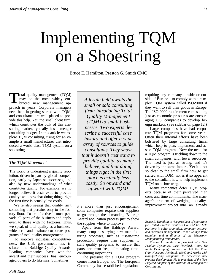### Implementing TQM on a Shoestring

Bruce E. Hamilton, Preston G. Smith CMC

Total quality management (TQM)<br>may be the most widely em-<br>braced new management apmay be the most widely embraced new management approach in years. Corporate managers need help in getting started with TQM, and consultants are well placed to provide this help. Yet, the small client firm, which constitutes the bulk of this consulting market, typically has a meager consulting budget. In this article we explore TQM consulting, using for an example a small manufacturer that introduced a world-class TQM system on a shoestring.

#### *The TQM Movement*

The world is undergoing a quality revolution, driven in part by global competition, partly by Japanese successes, and also by new understandings of what constitutes quality. For example, we no longer believe it costs extra to provide quality; we know that doing things right the first time is actually less costly.

We're also seeing that quality isn't something that pertains only to the factory floor. To be effective it must pervade all parts of the business and apply even to those with no factories. Thus, we speak of total quality as a businesswide term and institute corporate programs of total quality management.

To improve industrial competitiveness, the U.S. government has instituted the Baldrige Quality Awards. Leading companies have won the award and their success has encouraged others to do likewise. Sometimes

*A fertile field awaits the small or solo consulting firm: introducing Total Quality Management (TQM) to small businesses. Two experts describe a successful case history and offer a wide array of sources to guide consultants. They show that it doesn't cost extra to provide quality, as many believe, and that doing things right in the first place is actually less costly. So onward and upward with TQM!*

it's more than just encouragement; some companies require their suppliers to go through the demanding Baldrige Award application process just to show the supplier where to improve.

Apart from the Baldrige Award, many companies trying new manufacturing processes, such as just-in-time production, require their suppliers to start quality programs to ensure that parts are error-free, eliminating timeconsuming inspections.

The pressure for a TQM program comes from Europe, too. The European Community has established regulations

requiring any company—inside or outside of Europe—to comply with a complex TQM system called ISO-9000 if they want to sell their goods in Europe. The ISO-9000 requirement comes along just as economic pressures are encouraging U.S. companies to develop foreign markets. (See sidebar on page 12.)

Large companies have had corporate TQM programs for some years. Often their internal efforts have been bolstered by large consulting firms, which help to plan, implement, and assess TQM programs. Now the need for a TQM program is trickling down to the small companies, with fewer resources. The need is just as strong, and it's driven by the same factors. Yet it's not so clear to the small firm how to get started with TQM, nor is it so apparent to the consultant how to help implement TQM on a shoestring.

Many companies defer TQM projects because of their perceived high costs and time commitments. The manager's problem of wedging a qualityimprovement project into an already

*Bruce E. Hamilton is vice president of operations for United Electric Controls Co. and has held positions in sales promotion, computer systems, and materials management. He is a Shingo Prize examiner and a director of the Watertown Manufacturing Roundtable.*

*Preston* C. *Smith is a principal with New Product Dynamics, West Hartford, Conn. He wrote* Developing Products in Half the Time *(Van Nostrand Reinhold, 1991) and works with manufacturing companies to accelerate new product development. He is president of the New England chapter of the Institute of Management Consultants.*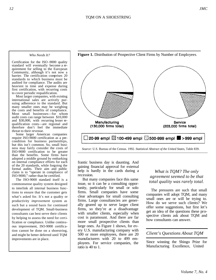#### *Who Needs It?*

Certification for the ISO -9000 quality standard will eventually become a requirement for selling to the European Community, although it's not now a barrier. The certification comprises 20 standards to which business must be audited for compliance. The audits are heaviest in time and expense during first certification, with recurring costs to cover periodic requalification.

Most larger companies, with existing international sales are actively pursuing adherence to the standard. But many smaller ones may be weighing the costs and benefits of compliance. Most small businesses—for whom audit costs can range between \$10,000 and \$30,000, with recurring lesser requalification costs—are regional and therefore don't feel the immediate threat to their revenue.

Some larger American companies require ISO-9000 certification as a precondition for business partnerships, but this isn't common. So, small business may fairly consider the costs of ISO-9000 certification to be greater than the benefits. Some firms have adopted a middle ground by embarking on internal compliance efforts for each of the 20 standards, while forgoing the formal audits. Their aim and public claim is to "operate in compliance of ISO-9000," rather than be certified.

The ISO-9000 standard itself is a commonsense quality system designed to interlink all internal business functions to ensure that the customer gets what's asked for. It's not a quality or productivity *improvement* system as such but a sound basis for continued development of TQM. Small-business consultants can best serve their clients by helping to assess the need for certification or compliance. Unlike continuous improvement, ISO-9000 certification cannot be done on a shoestring, and might be better deferred until TQM improvements are in place.

frantic business day is daunting. And gaining financial approval for external help is hardly in the cards during a recession.

But many companies face this same issue, so it can be a consulting opportunity, particularly for small or solo firms. Small companies have some clear advantages for small consulting firms. Large consultancies are generally geared up to serve larger client firms, so they're at a disadvantage with smaller clients, especially when cost is paramount. And there are far more small prospective clients than large ones. As Figure 1 shows, for every U.S. manufacturing company with 500 or more employees, there are 20 manufacturers with 20 to 499 employees. For service companies, the ratio is 40 to 1.

#### *What is TQM? The only agreement seemed to be that total quality was rarely total.*

The pressures are such that small companies will adopt TQM, and many small ones are or will be trying to. How do we serve such clients? We offer some suggestions, but first let's get an idea of the questions these prospective clients ask about TQM and how consultants can answer.

#### *Client's Questions About TQM*

Since winning the Shingo Prize for Manufacturing Excellence, United



#### **Figure 1.** Distribution of Prospective Client Firms by Number of Employees.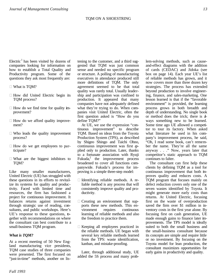Electric  $\frac{1}{1}$  has been visited by dozens of companies looking for information on how to establish a Total Quality and Productivity program. Some of the questions they ask most frequently are:

- What is TQM?
- How did United Electric begin its TQM process?
- How do we find time for quality improvement?
- How do we afford quality improvement?
- Who leads the quality improvement process?
- How do we get employees to participate?
- What are the biggest inhibitors to TQM?

Like many smaller manufacturers, United Electric (UE) has struggled with these questions in its efforts to revitalize its systems for quality and productivity. Faced with limited time and resources, the firm has fashioned a project for continuous improvement. It balances returns against investment through strategic use of reading, consultants, and public workshops. Here's UE's response to these questions, together with recommendations on where the consultant can best contribute to a small-business TQM program.

#### *What is TQM?*

At a recent meeting of 50 New England manufacturing vice presidents, TQM case studies of three companies were presented. The first focused on "just-in-time" methods, another on lis-

tening to the customer, and a third suggested that TQM was just common sense and needed no specific program or structure. A polling of manufacturing executives in attendance produced still more definitions of TQM. The only agreement seemed to be that total quality was rarely total. Usually leadership and participation was confined to production. It appeared that many companies have not adequately defined what they're trying to do. When companies visit United Electric, often the first question asked is "How do you define TQM?"

At UE, we use the expression "continuous improvement" to describe TQM. Based on ideas from the Toyota Production System (TPS), as described by Shigeo Shingo and Taichi Ohno, continuous improvement was first applied only to production. Later, thanks to a fortunate association with Ryuji Fukuda,<sup>2</sup> the improvement process broadened to cover all functions companywide. Fukuda's process for improving is a simple three-step model:

- Identifying reliable methods. A reliable method is any process that will consistently improve quality and productivity.
- Creating an environment that supports these new methods. This environment requires continuous learning of reliable methods and also the freedom to practice them.
- Keeping all employees practiced in the reliable methods. UE began with several key reliable methods learned from the TPS: waste identification, kanban, and mistake-proofing.

Later, through additional study, UE added the 5S process and many prob-

lem-solving methods, such as causeand-effect diagrams with the addition of cards (CEDAC) and Jidoka (see box on page 14). Each year UE's list of reliable methods has grown, and it now covers more than three dozen key strategies. The process has extended beyond production to involve engineering, finance, and sales-marketing. One lesson learned is that if the "favorable environment" is provided, the learning process grows in both breadth and depth of understanding. No single book or method does the trick; there is always something new to be learned. Some time ago UE allowed a competitor to tour its factory. When asked what literature he used in his company's improvement process, he said, "Oh, I read some book, can't remember the name. They're all the same anyway . . ." Now, years later that competitor's static approach to TQM continues to falter.

The consultant can first help these clients by defining TQM as a tool for continuous improvement that both improves quality and reduces costs. A TQM program that focuses mainly on defect reduction covers only one of the seven wastes identified by Toyota. It might generate more early costs than returns. At United Electric, focusing first on the waste of overproduction saved the firm over \$1 million in inventory costs in the first year alone. By focusing first on cash generation, UE made enough gains to finance later improvements. The TPS model is ideally suited to both the small business and the small-business consultant because its concepts are simple and require little or no investment. By focusing on the Toyota model for lean production, the consultant maximizes opportunities for early gains in productivity and quality.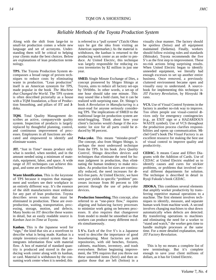#### *Reliable Methods of the Toyota Production System*

Along with the shift from large-lot to small-lot production comes a whole new language and set of acronyms. Understanding them will be critical to helping your clients make the best choices. Below are explanations of lean production terminology.

**TPS.** The Toyota Production System encompasses a broad range of proven techniques to reduce costs by eliminating waste in production. "Lean production" itself is an American synonym for TPS, made popular in the book *The Machine that Changed the World*. The TPS system is often described pictorially as a house with a TQM foundation, a floor of Production Smoothing, and pillars of JIT and Jidoka.

**TQM.** Total Quality Management describes an active, companywide quality system. Inspection of products is largely replaced by thoughtful planning, control, and continuous improvement of processes. Employees in all functions are educated and empowered to identify and eliminate wastes.

**JIT.** "Just in Time" means produce only what is needed, when needed, and in the amount needed using a minimum of materials, equipment, labor, and space. A wide range of JIT techniques can achieve this goal, and some are described below.

**Waste Identification.** This is the keystone of TPS because it requires that management and workers see their workplace in an entirely different way. It's the essence of the shift manufacturers must embrace for any part of lean production. Toyota describes seven wastes that must be eliminated in production. These are overproduction, waiting, transportation, processing, storage, motion, and defects. Many books on JIT describe these wastes in detail, but an easily readable source is *Kanban Just-in-Time at Toyota*.

**Kanban.** This is the Japanese word for "sign," the kind that sits at a storefront to describe what is being made. Kanban is a simple inventory-control system that reintegrates information flow with material flow. A box of material of standard quantity is produced and stored in the producing work center along with its kanban, or card. Material is withdrawn by the consuming work center when it is needed; this

is referred to a "pull system" (Taichi Ohno says he got the idea from visiting an American supermarket.) As the material is withdrawn, the kanban is returned to the producing work center as an order to produce. At United Electric, this technique was largely responsible for reducing excess inventories by \$2 million in just one year.

**SMED.** Single Minute Exchange of Dies, a concept pioneered by Shigeo Shingo at Toyota, aims to reduce all factory set-ups by 59/60ths. In other words, a set-up of one hour should take one minute. This may sound like a bold claim, but it can be realized with surprising ease. Dr. Shingo's book *A Revolution in Manufacturing* is a must-read for anyone seriously considering TPS. The implications of SMED to the traditional large-lot production system are mind-boggling. Think about how your client's factories would change if the economic lot size for all parts could be reduced by 98 percent.

**Poka-yoke.** This means "mistake-proof" The concept, also from Shigeo Shingo, is perhaps the most underused technique from the TPS. In his book *Zero Quality Control*, Shingo describes devices and techniques that eliminate the need for human judgment in production, thus eliminating the human tendency to make mistakes. As production lot sizes are continually reduced, the need increases for defect-free parts. At United Electric, we have seen part yields in specific "problem" processes increase from 80 percent to 100 percent through the use of poka-yoke devices.

**Production Smoothing.** This concept, also referred to as "one-piece flow," requires aligning and balancing factory processes to minimize work going on between processes. It also requires that changeover from model to model be smoothed so that workers can produce many different mo dels simultaneously.

**5 S's.** Each of the five S's is a Japanese word to describe the importance of good housekeeping. Most factories are junk repositories, with old benches, fixtures, cabinets, machines, inventory, and trash everywhere. Before beginning improvement, the TPS requires that you throw out these unneeded items (Seiri) and then organize those that are left (Seiton) in a

visually clear manner. The factory should be spotless (Seiso) and all equipment maintained (Seiketsu). Finally, workers should follow existing rules and standards (Shitsuke). Toyota recommends the five S's as the first step to improvement. These no-risk actions bring surprising results. When United Electric began to identify unneeded equipment, we literally had enough excesses to set up another entire business. Once removed, a previously cluttered environment became open and visually easy to understand. A sourcebook for implementing this technique is *JIT Factory Revolution*, by Hiroyuki Hirano.

**VCS.** Use of Visual Control Systems in the factory is another no-risk way to improve. Too often people use visual-control devices only for emergency contingencies (e.g., an EXIT sign or a HAZARDOUS WASTE symbol). Use of VCS throughout the production process clarifies responsibilities and opens up communication. Michel Greif's book *The Visual Factory* is an excellent resource for making the best use of visual control to improve quality and productivity.

**CEDAC.** It means Cause and Effect Diagrams with the Addition of Cards. Use of CEDAC at United Electric enabled us to identify causes and cures for stickier problems, or problems that involved several different departments for solution. The technique is described in detail in Ryuji Fukuda's book *CEDAC*.

**JIDOKA.** This combines several elements that amplify worker productivity by transferring repetitive manual operations to a machine. The first element involves techniques to identify, measure, and separate human work from machine work. A second involves changing machines to shut down automatically when defects are detected. By transferring operations to machines and eliminating the need for a worker to "stand and watch," the worker gets time to handle multiple processes at the same time. For a more detailed explanation, read *JIT Factory Revolution*.

This is by no means a complete list of new terminology. But it's complete enough to save your client millions of dollars, as it has for United Electric.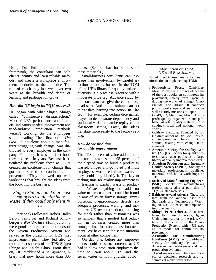Using Dr. Fukuda's model as a framework, the consultant can help clients identify and learn reliable methods, and create a workplace environment conducive to their practice. The role of coach may last well over two years as the breadth and depth of learning and participation grows.

#### *How did UE begin its TQM process?*

UE began with what Shigeo Shingo called "constructive dissatisfaction." Most of UE's performance and financial indicators needed improvement and tried-and-true production methods weren't working. So the employees started reading. Their first book, *The Goal,* a novelette about a manufacturer struggling with change, was distributed to every employee in the company. For many it was the first book they had read in years. Because it articulated the problems faced at UE, it created an excitement for change that got them started on continuous improvement. They followed up with workshops that brought the ideas from the book into the business.

#### *Shigeo Shingo noted that most employees would eliminate waste, if they could only identify it.*

Other books followed. Robert Hall's Zero *Inventories* and Richard Schonberger's *World-Class Manufacturing* were good primers for the methods of the Toyota Production System and served as the blueprint for UE's first improvement plan. They led also to more direct sources of the TPS: Shigeo Shingo and Taichi Ohno. From there on, UE established a still-growing library that now holds more than 300 books. (See sidebar for sources of these materials.)

Small-business consultants can leverage their involvement by careful selection of books for use in the TQM effort. UE's library for quality and productivity is a priceless resource with a moderate price tag. Advance study by the consultant can give the client a big head start. And the consultant can act to translate learning into action. In *The Goal,* for example, certain dice games played to demonstrate dependency and statistical variation can be replayed in a classroom setting. Later, the ideas translate more easily to the factory setting.

#### *How do we find time for quality improvement?*

The TPS concept of value-added manufacturing teaches that 95 percent of the elapsed time to build a product is wasted. Shigeo Shingo noted that most employees would eliminate waste, if they could only identify it. The key to making time for quality improvement is in learning to identify waste in production. Waste—anything that adds no value to the customer—could be found in any of seven forms: storage, transportation, overproduction, defects, inadequate processes, waiting, and motion. At UE, overproduction (producing for stock rather than customers) was so rampant that a modest first reduction in lot sizes created more than enough time for continuous improvement. We have seen the same situation occur at other companies.

On day one, before any improvements could be seen, someone at UE had to allow production employees the time to learn about TPS and the seven wastes, or nothing further could

#### *Information on TQM: UE's 10 Best Sources*

United Electric used many sources of information in implementing TQM:

- 1. **Productivity Press,** Cambridge, Mass. Publishes a library of dozens of the best books on continuous improvement, chiefly from Japan, induding the works of Shingo, Ohno, Fukuda, and Hirano. It conducts public workshops and seminars as well as study missions to Japan.
- 2. **Goal/QPC,** Methuen, Mass. A nonprofit quality organization and publisher of total quality materials, also conducts local and national workshops.
- 3. **Goldratt Institute.** Founded by Eli Goldratt, author of *The Goal*, this institute promotes Theory of Constraints, dealing with change management.
- 4. **American Society for Quality Control (ASQC).** Society for quality professionals, also publishes a large library of quality improvement texts.
- 5. **American Production and Inventory Control Society (APICS).** Society for materials professionals, publishes materials and holds workshops on JIT.
- 6. **Society of Manufacturing Engineers (SME).** Society for manufacturing professionals; also a publisher of TQM-related materials.
- 7. **Baldrige Award criteria**. These are free, from the National Institute of Standards and Technology, Washington, D.C. An excellent template to improve quality.
- 8. **Shingo Prize criteria**. Also free, from Utah State University, Ogden, Utah, administrator of the prize. Criteria for the prize follow the Toyota Production System, which UE used as its model for continuous improvement.<br>9. Association
- 9. **Association for Manufacturing Excellence (AME).** A broad-based society for industry dedicated to American competitiveness and lean production systems.
- 10. **Local universities**. There are pockets of excellent research and resources at many universities.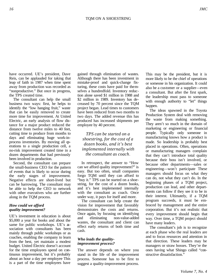have occurred. UE's president, Dave Reis, can be applauded for taking that leap of faith in 1987 when time spent away from production was recorded as "nonproductive." But once in progress, the TPS created time.

The consultant can help the small business two ways: first, he helps to identify the "low hanging fruit," waste that can be easily removed to create more time for improvement. At United Electric, an early analysis of flow distance for a major product reduced the distance from twelve miles to 40 feet, cutting time to produce from months to days and eliminating huge work-inprocess inventories. By moving all operations to a single production cell, a no-risk improvement created time in a dozen departments that had previously been involved in production.

Second, the consultant can prepare the small-business CEO for the pattern of events that is likely to occur during the early stages of improvement. Negative effects are short-lived but can be harrowing. The consultant may be able to help the CEO to network with other executives who are further along in the TQM process.

#### *How could we afford quality improvement?*

UE's investment in education is about \$5,000 a year for books and about the same for public workshops. UE's  $\infty$ sociation with consultants has been mainly through public workshops or as coaches, enabling the company to learn from the best, yet maintain a modest budget. United Electric doesn't account for the time employees spend on continuous improvement, but it's probably about an hour a day per employee This is a part of the time employees have

gained through elimination of wastes. Although there has been investment in mistake-proof and quick-change fixturing, these costs have paid for themselves a hundredfold. Inventory reduction alone saved \$1 million in 1988 and \$2 million in 1989. Inventory has decreased by 70 percent since the TQM project began. Lead times to customers have been reduced from two months to two days. The added revenue this has produced has increased shipments per employee by 40 percent.

*TPS can be started on a shoestring, for the cost of a dozen books, and it's best implemented internally with the consultant as coach.*

In retrospect, the answer to "How can we afford quality improvement?" is easy. But too often, small companies forgo TQM until they can afford to "buy it." TPS can be started on a shoestring, for the cost of a dozen books, and it's best implemented internally with the consultant as coach. Once under way, it pays for itself and more.

The consultant can help create the vision for improvement that favorably demonstrates the costs and returns. Once again, by focusing on identifying and eliminating non-value-added wastes, the consultant and client can effect early returns of both time and cash.

#### *Who leads the qualityimprovement process?*

The answer depends on where you stand in the life of the improvement process. Someone has to be first to suggest a quality-improvement process. This may be the president, but it is more likely to be the chief of operations or someone in his organization. It could also be a customer or a supplier—even a consultant. But after the first spark, the leadership must pass to someone with enough authority to "let" things happen.

The ideas spawned in the Toyota Production System deal with removing the waste from making something. They aren't so much in the domain of marketing or engineering or financial people. Typically only someone in manufacturing knows how a product is made. So leadership is probably best placed in operations. Often, operations or manufacturing managers complain that they can't introduce total quality because their boss isn't involved, or because other departments—sales or engineering—won't participate These managers should focus on what they can do, not what they can't do. In the beginning phases of a TQM project, production can lead, and other departments can follow if they see it to be in their interest. Ultimately, if a TQM program succeeds, it must be embraced by management and the entire corporation. But it's not realistic that every improvement should begin that way. Over time, a TQM project should have many leaders.

The consultant's job is to recognize at each phase who the real leaders are and to focus resources and attention in that direction. These leaders may be managers or straw bosses. They're the ones having what Shingo called "constructive dissatisfaction."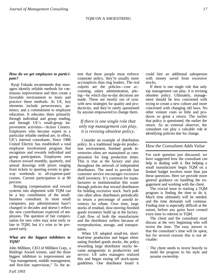#### *How do we get employees to participate?*

 Ryuji Fukuda recommends that managers identify reliable methods for continuous improvement and then create a favorable environment to learn and practice these methods. At UE, key elements include perseverance, patience, and a commitment to employee education. It educates them primarily through individual and group reading, and through UE's small-group improvement activities—Action Centers. Employees who become expert in a particular reliable method are, in effect, UE's internal consultants. Since 1988 United Electric has established a total employee involvement program that recognizes and rewards individual and group participation. Employees earn chances toward monthly, quarterly, and annual drawings with prizes ranging from tickets to sporting events to getaway weekends to all-expense-paid cruises. Current participation is at 90 percent.

Bringing compensation and reward systems into alignment with TQM can be a key contribution of the smallbusiness consultant. In most small companies, pay administration hasn't changed in decades and doesn't reflect the new contributions expected of employees. The question of fair compensation for new roles may arise early or late in TQM, but it's wise to be prepared early.

#### *What are the biggest inhibitors to TQM?*

John Milliken, CEO of Milliken Corp., a Baldrige Award winner, said the three biggest inhibitors to improvement are "top management, middle management, and first-line supervision," To the extent that these people must enforce corporate policy, they're usually more accomplices than ring leaders. The real culprits are the policies—cost accounting, salary administration, pricing—by which day-to-day decisions are made. These are mostly out of sync with new strategies for quality and productivity, and they're rarely questioned by anyone empowered to change them.

#### *If there is one single role that only top management can play, it is revising obsolete policy.*

Consider an example of distribution policy. In a traditional large-lot production environment, finished goods inventories often are maintained as compensation for long production times. This is true at the factory and also throughout the network of independent distributors. The need to provide fast customer service encourages excessive shelf inventory. It's common for manufacturers to institutionalize this waste through policies that reward distributors for holding excessive stock. Such policies often allow distributors periodically to return a percentage of unsold inventory for rebate. Over time, large stocks of residual, slow-moving finished goods inventory build up at the factory. Cash flow of both the manufacturer and the distributor suffers because of overproduction, storage, and transportation.

When UE adopted small-lot, shortlead-time production and began eliminating finished goods stocks, the policy rewarding large distributor stocks became antagonistic to productivity and service. UE sales managers realized this and began easing off stock-quota guidelines. One distributor found it could hire an additional salesperson with money saved from excessive stocks.

If there is one single role that only top management can play, it is revising obsolete policy. Ultimately, management should be less concerned with trying to create a new culture and more concerned with changing old laws. No other venture costs so little and produces so great a return. The earlier that policy is questioned, the earlier the return. As an external observer, the consultant can play a valuable role in identifying policies due for change.

#### *How the Consultant Adds Value*

For each question just discussed, we have suggested how the consultant can help in dealing with it. But helping a small manufacturer begin TQM on a limited budget involves more than just these questions. Here we provide more general guidance on handling the engagement and working with the client.

The crucial issue in starting a TQM program is finding the time to do it. Much time ultimately will be needed, and the time demands will continue. Finding time is especially difficult at the outset, before any gains have created extra time to reinvest in TQM.

The client and the consultant must discuss at the very beginning who will invest the time. The easy answer is that the consultant's time will be spent, but for several reasons this is not advisable:

The client needs to invest heavily to mold the program to his style and assume ownership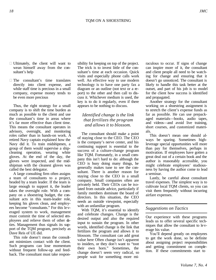- Ultimately, the client will want to wean himself away from the consultant's help
- The consultant's time translates directly into client expense, and while staff time is precious in a small company, expense money tends to be even more precious

Thus, the right strategy for a small company is to shift the time burden as much as possible to the client and use the consultant's time in areas where it's far more effective than client time. This means the consultant operates in advisory, oversight, and monitoring roles rather than in hands-on work. A retired Navy captain explained how the Navy did it. To train midshipmen, a group of them would supervise a shipcleaning operation, wearing white gloves. At the end of the day, the gloves were inspected, and the midshipman with the cleanest gloves was called the best delegator.

A large consulting firm often assigns a team of consultants to a project, headed by a team leader. If the team is large enough to support it, the leader takes the oversight role. With a company on a shoestring budget, the consultant acts in this team-leader role, keeping his gloves clean, and employees become "consultants." For this leveraged system to work, management must commit the time of selected employees and relieve them of other duties. Management thus signals its support of the TQM program, precisely as Dave Reis of UE did.

This role doesn't mean the consultant minimizes contact with the client. Such programs can lose momentum without frequent follow-up and feedback. The consultant must take responsibility for keeping on top of the project. The trick is to invest little of the consultant's time at each occasion. Quick visits and especially phone calls work well. An effective way to use modern technology is to have one party fax a diagram or an outline (not text or a report) to the other and then call to discuss it. Whichever medium is used, the key is to do it regularly, even if there appears to be nothing to discuss.

#### *Identified change is the link that fertilizes the program and allows it to blossom.*

The consultant should make a point of staying close to the CEO. The CEO is the company's nerve center, and his continuing support is essential to the success of a culture-change program like TQM. Fortunately, in a small company this isn't hard to do: although the CEO is busy doing many things, he generally makes tune to see the consultant. There is another reason for staying close to the CEO in a small company. Small companies often are privately held. Their CEOs can be isolated from outside advice, particularly if family members dominate the board of directors. In this situation, the CEO needs an outside viewpoint, especially with an unfamiliar program.

With TQM, it's essential to identify and celebrate changes. Change is the desired output and also the required input to sustain the program. In other words, identified change is the link that fertilizes the program and allows it to blossom. The consultant can add great value here Often change isn't apparent to insiders, or they don't want to "toot their own horn." Sometimes, the change doesn't seem very radical, so people wait for something more miraculous to occur. If signs of change can inspire more of it, the consultant and client people all need to be watching for change and ensuring that it doesn't go unnoticed. The consultant is likely to handle this task better at the outset, and part of his job is to model for the client how success is identified and propagated.

Another strategy for the consultant working on a shoestring assignment is to stretch the client's expense funds as far as possible. He can use prepackaged materials—books, audio tapes, and videos—and avoid live training, short courses, and customized materials.

This doesn't mean one should always be sparing. Sometimes highleverage special opportunities will more than pay for themselves, perhaps in motivation. If employees have gotten a great deal out of a certain book and the author is reasonably accessible, you might celebrate employees' studiousness by having the author come to lead a seminar.

Lastly, be careful about consultant travel expenses. The simplest way is to cultivate local TQM clients, so you can visit them frequently without incurring airfare expenses.

#### *Suggestions on Tactics*

Our experience with these programs leads us to offer several specific techniques that allow the consultant to leverage his value.

You'll depend greatly on employees to get the work done, so be definite about assigning project responsibilities and getting commitment on completion. If these commitments start to